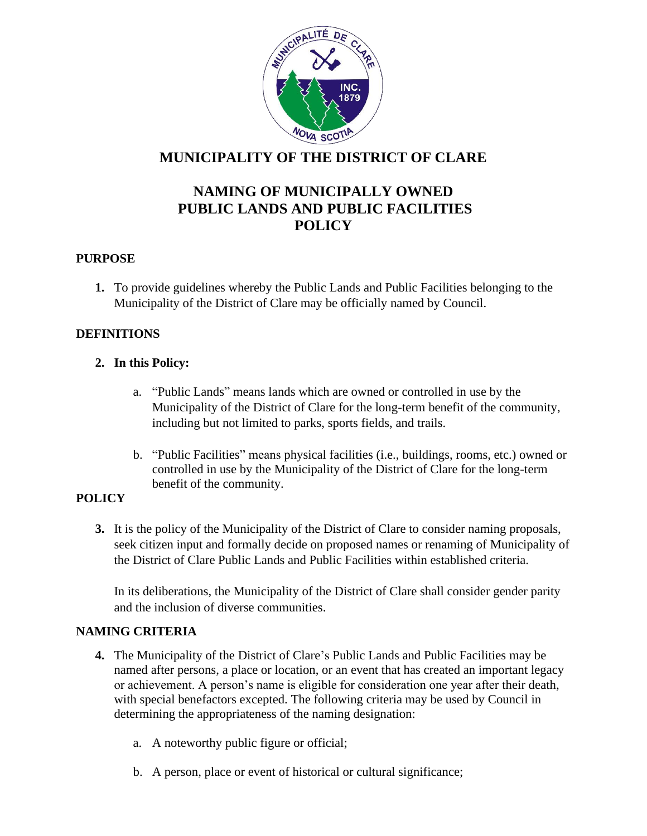

# **MUNICIPALITY OF THE DISTRICT OF CLARE**

# **NAMING OF MUNICIPALLY OWNED PUBLIC LANDS AND PUBLIC FACILITIES POLICY**

# **PURPOSE**

**1.** To provide guidelines whereby the Public Lands and Public Facilities belonging to the Municipality of the District of Clare may be officially named by Council.

# **DEFINITIONS**

# **2. In this Policy:**

- a. "Public Lands" means lands which are owned or controlled in use by the Municipality of the District of Clare for the long-term benefit of the community, including but not limited to parks, sports fields, and trails.
- b. "Public Facilities" means physical facilities (i.e., buildings, rooms, etc.) owned or controlled in use by the Municipality of the District of Clare for the long-term benefit of the community.

## **POLICY**

**3.** It is the policy of the Municipality of the District of Clare to consider naming proposals, seek citizen input and formally decide on proposed names or renaming of Municipality of the District of Clare Public Lands and Public Facilities within established criteria.

In its deliberations, the Municipality of the District of Clare shall consider gender parity and the inclusion of diverse communities.

## **NAMING CRITERIA**

- **4.** The Municipality of the District of Clare's Public Lands and Public Facilities may be named after persons, a place or location, or an event that has created an important legacy or achievement. A person's name is eligible for consideration one year after their death, with special benefactors excepted. The following criteria may be used by Council in determining the appropriateness of the naming designation:
	- a. A noteworthy public figure or official;
	- b. A person, place or event of historical or cultural significance;